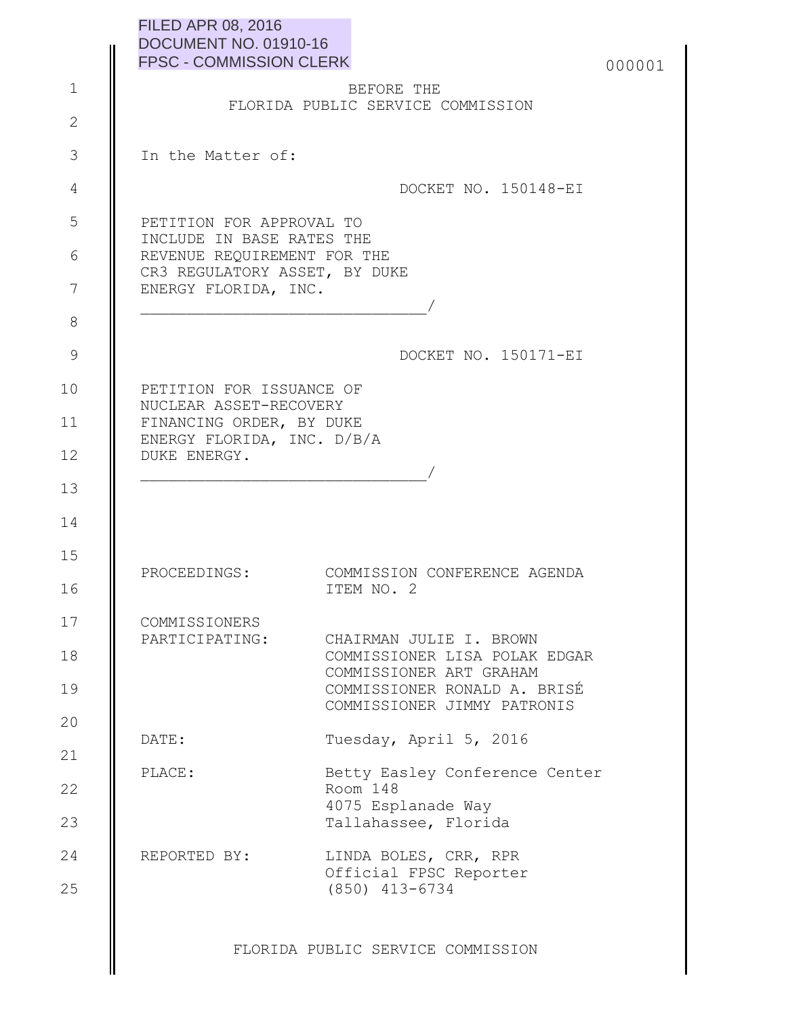| <b>FILED APR 08, 2016</b>      |  |
|--------------------------------|--|
| DOCUMENT NO. 01910-16          |  |
| <b>FPSC - COMMISSION CLERK</b> |  |

|  | 000001 |
|--|--------|
|--|--------|

|  | BEFORE THE |                                   |
|--|------------|-----------------------------------|
|  |            | FLORIDA PUBLIC SERVICE COMMISSION |

In the Matter of:

1

2

3

4

5

6

7

8

9

10

11

12

13

14

15

16

20

21

DOCKET NO. 150148-EI

PETITION FOR APPROVAL TO INCLUDE IN BASE RATES THE REVENUE REQUIREMENT FOR THE CR3 REGULATORY ASSET, BY DUKE ENERGY FLORIDA, INC. \_\_\_\_\_\_\_\_\_\_\_\_\_\_\_\_\_\_\_\_\_\_\_\_\_\_\_\_\_\_\_/

DOCKET NO. 150171-EI

PETITION FOR ISSUANCE OF NUCLEAR ASSET-RECOVERY FINANCING ORDER, BY DUKE ENERGY FLORIDA, INC. D/B/A DUKE ENERGY.

PROCEEDINGS: COMMISSION CONFERENCE AGENDA ITEM NO. 2

| 17 | COMMISSIONERS  |                               |
|----|----------------|-------------------------------|
|    | PARTICIPATING: | CHAIRMAN JULIE I, BROWN       |
| 18 |                | COMMISSIONER LISA POLAK EDGAR |
|    |                | COMMISSIONER ART GRAHAM       |
| 19 |                | COMMISSIONER RONALD A. BRISÉ  |
|    |                | COMMISSIONER JIMMY PATRONIS   |

DATE: Tuesday, April 5, 2016

\_\_\_\_\_\_\_\_\_\_\_\_\_\_\_\_\_\_\_\_\_\_\_\_\_\_\_\_\_\_\_/

PLACE: Betty Easley Conference Center Room 148 4075 Esplanade Way Tallahassee, Florida 22 23

REPORTED BY: LINDA BOLES, CRR, RPR Official FPSC Reporter (850) 413-6734 24 25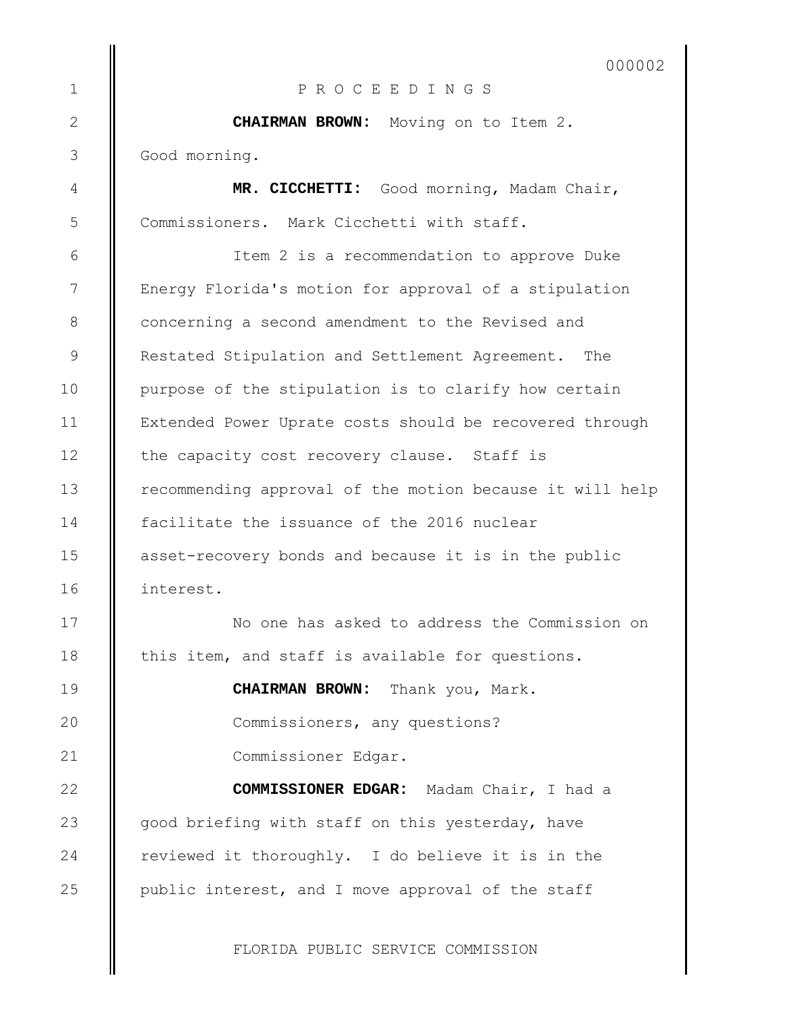000002

P R O C E E D I N G S

**CHAIRMAN BROWN:** Moving on to Item 2. Good morning.

1

2

3

4

5

6

7

8

9

10

11

12

13

14

15

16

17

18

19

 $20$ 

21

22

23

24

25

**MR. CICCHETTI:** Good morning, Madam Chair, Commissioners. Mark Cicchetti with staff.

Item 2 is a recommendation to approve Duke Energy Florida's motion for approval of a stipulation concerning a second amendment to the Revised and Restated Stipulation and Settlement Agreement. The purpose of the stipulation is to clarify how certain Extended Power Uprate costs should be recovered through the capacity cost recovery clause. Staff is recommending approval of the motion because it will help facilitate the issuance of the 2016 nuclear asset-recovery bonds and because it is in the public interest.

No one has asked to address the Commission on this item, and staff is available for questions.

> **CHAIRMAN BROWN:** Thank you, Mark. Commissioners, any questions? Commissioner Edgar.

**COMMISSIONER EDGAR:** Madam Chair, I had a good briefing with staff on this yesterday, have reviewed it thoroughly. I do believe it is in the public interest, and I move approval of the staff

FLORIDA PUBLIC SERVICE COMMISSION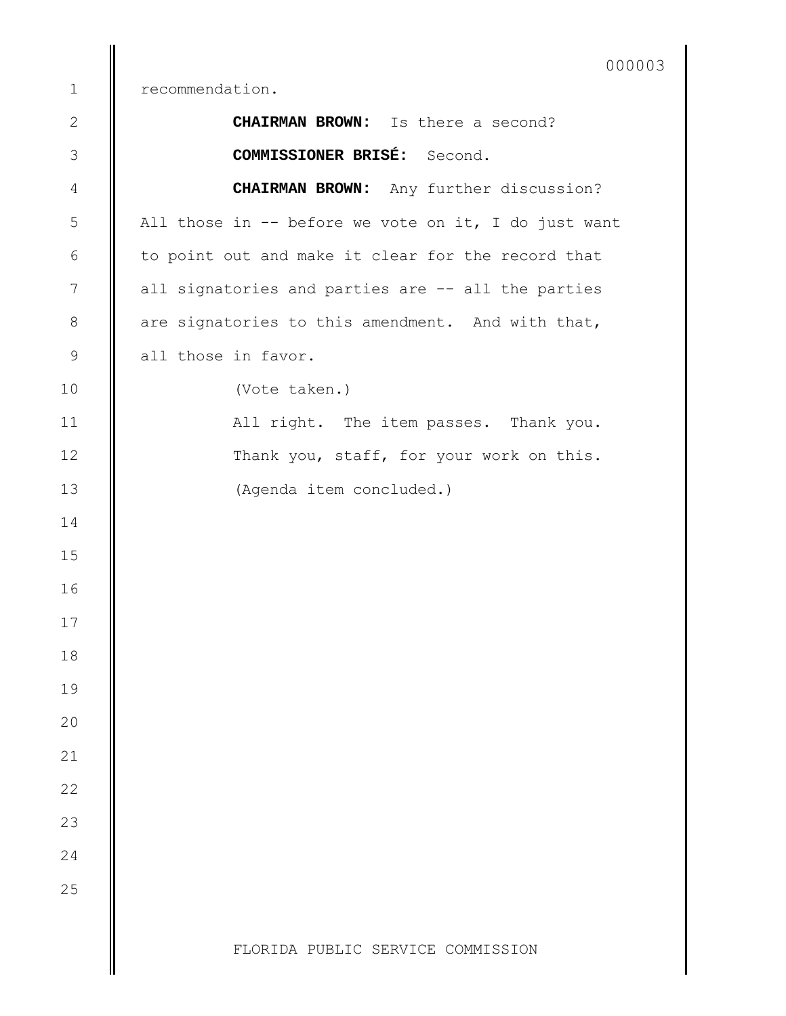recommendation.

| $\mathbf{2}$   | CHAIRMAN BROWN: Is there a second?                   |
|----------------|------------------------------------------------------|
| $\mathfrak{Z}$ | <b>COMMISSIONER BRISÉ:</b> Second.                   |
| 4              | <b>CHAIRMAN BROWN:</b> Any further discussion?       |
| 5              | All those in -- before we vote on it, I do just want |
| 6              | to point out and make it clear for the record that   |
| 7              | all signatories and parties are -- all the parties   |
| $8\,$          | are signatories to this amendment. And with that,    |
| $\mathsf 9$    | all those in favor.                                  |
| 10             | (Vote taken.)                                        |
| 11             | All right. The item passes. Thank you.               |
| 12             | Thank you, staff, for your work on this.             |
| 13             | (Agenda item concluded.)                             |
| 14             |                                                      |
| 15             |                                                      |
| 16             |                                                      |
| 17             |                                                      |
| 18             |                                                      |
| 19             |                                                      |
| 20             |                                                      |
| 21             |                                                      |
| 22             |                                                      |
| 23             |                                                      |
| 24             |                                                      |
| 25             |                                                      |
|                |                                                      |
|                | FLORIDA PUBLIC SERVICE COMMISSION                    |